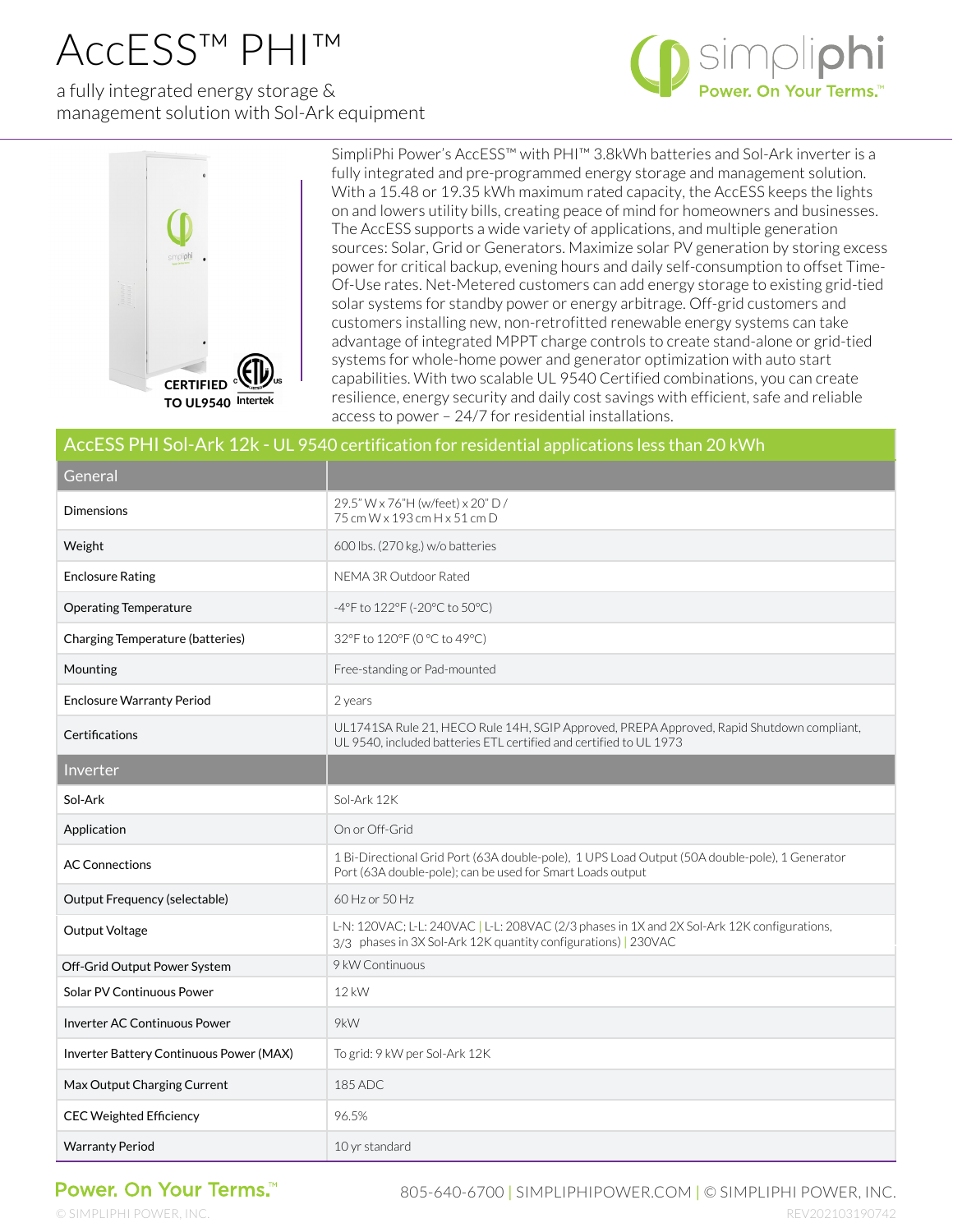## AccESS™ PHI™

a fully integrated energy storage & management solution with Sol-Ark equipment





SimpliPhi Power's AccESS™ with PHI™ 3.8kWh batteries and Sol-Ark inverter is a fully integrated and pre-programmed energy storage and management solution. With a 15.48 or 19.35 kWh maximum rated capacity, the AccESS keeps the lights on and lowers utility bills, creating peace of mind for homeowners and businesses. The AccESS supports a wide variety of applications, and multiple generation sources: Solar, Grid or Generators. Maximize solar PV generation by storing excess power for critical backup, evening hours and daily self-consumption to offset Time-Of-Use rates. Net-Metered customers can add energy storage to existing grid-tied solar systems for standby power or energy arbitrage. Off-grid customers and customers installing new, non-retrofitted renewable energy systems can take advantage of integrated MPPT charge controls to create stand-alone or grid-tied systems for whole-home power and generator optimization with auto start capabilities. With two scalable UL 9540 Certified combinations, you can create resilience, energy security and daily cost savings with efficient, safe and reliable access to power – 24/7 for residential installations.

| AccESS PHI Sol-Ark 12k - UL 9540 certification for residential applications less than 20 kWh |                                                                                                                                                                 |
|----------------------------------------------------------------------------------------------|-----------------------------------------------------------------------------------------------------------------------------------------------------------------|
| General                                                                                      |                                                                                                                                                                 |
| <b>Dimensions</b>                                                                            | 29.5" W x 76"H (w/feet) x 20" D /<br>75 cm W x 193 cm H x 51 cm D                                                                                               |
| Weight                                                                                       | 600 lbs. (270 kg.) w/o batteries                                                                                                                                |
| <b>Enclosure Rating</b>                                                                      | NEMA 3R Outdoor Rated                                                                                                                                           |
| <b>Operating Temperature</b>                                                                 | -4°F to 122°F (-20°C to 50°C)                                                                                                                                   |
| Charging Temperature (batteries)                                                             | 32°F to 120°F (0 °C to 49°C)                                                                                                                                    |
| Mounting                                                                                     | Free-standing or Pad-mounted                                                                                                                                    |
| <b>Enclosure Warranty Period</b>                                                             | 2 years                                                                                                                                                         |
| Certifications                                                                               | UL1741SA Rule 21, HECO Rule 14H, SGIP Approved, PREPA Approved, Rapid Shutdown compliant,<br>UL 9540, included batteries ETL certified and certified to UL 1973 |
| Inverter                                                                                     |                                                                                                                                                                 |
| Sol-Ark                                                                                      | Sol-Ark 12K                                                                                                                                                     |
| Application                                                                                  | On or Off-Grid                                                                                                                                                  |
| <b>AC Connections</b>                                                                        | 1 Bi-Directional Grid Port (63A double-pole), 1 UPS Load Output (50A double-pole), 1 Generator<br>Port (63A double-pole); can be used for Smart Loads output    |
| Output Frequency (selectable)                                                                | 60 Hz or 50 Hz                                                                                                                                                  |
| Output Voltage                                                                               | L-N: 120VAC; L-L: 240VAC   L-L: 208VAC (2/3 phases in 1X and 2X Sol-Ark 12K configurations,<br>3/3 phases in 3X Sol-Ark 12K quantity configurations)   230VAC   |
| Off-Grid Output Power System                                                                 | 9 kW Continuous                                                                                                                                                 |
| Solar PV Continuous Power                                                                    | 12 kW                                                                                                                                                           |
| <b>Inverter AC Continuous Power</b>                                                          | 9kW                                                                                                                                                             |
| Inverter Battery Continuous Power (MAX)                                                      | To grid: 9 kW per Sol-Ark 12K                                                                                                                                   |
| Max Output Charging Current                                                                  | 185 ADC                                                                                                                                                         |
| <b>CEC Weighted Efficiency</b>                                                               | 96.5%                                                                                                                                                           |
| <b>Warranty Period</b>                                                                       | 10 yr standard                                                                                                                                                  |

## Power. On Your Terms.<sup>™</sup>

805-640-6700 | SIMPLIPHIPOWER.COM | © SIMPLIPHI POWER, INC.